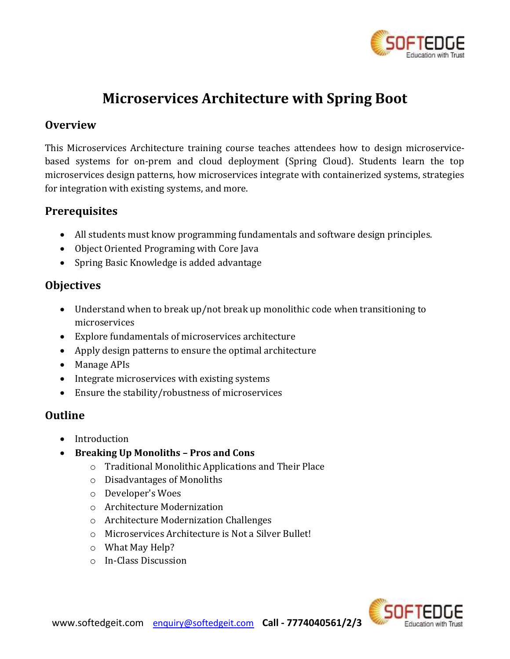

# **Microservices Architecture with Spring Boot**

## **Overview**

This Microservices Architecture training course teaches attendees how to design microservicebased systems for on-prem and cloud deployment (Spring Cloud). Students learn the top microservices design patterns, how microservices integrate with containerized systems, strategies for integration with existing systems, and more.

## **Prerequisites**

- All students must know programming fundamentals and software design principles.
- Object Oriented Programing with Core Java
- Spring Basic Knowledge is added advantage

## **Objectives**

- Understand when to break up/not break up monolithic code when transitioning to microservices
- Explore fundamentals of microservices architecture
- Apply design patterns to ensure the optimal architecture
- Manage APIs
- Integrate microservices with existing systems
- Ensure the stability/robustness of microservices

## **Outline**

- Introduction
- **Breaking Up Monoliths – Pros and Cons** 
	- o Traditional Monolithic Applications and Their Place
	- o Disadvantages of Monoliths
	- o Developer's Woes
	- o Architecture Modernization
	- o Architecture Modernization Challenges
	- o Microservices Architecture is Not a Silver Bullet!
	- o What May Help?
	- o In-Class Discussion

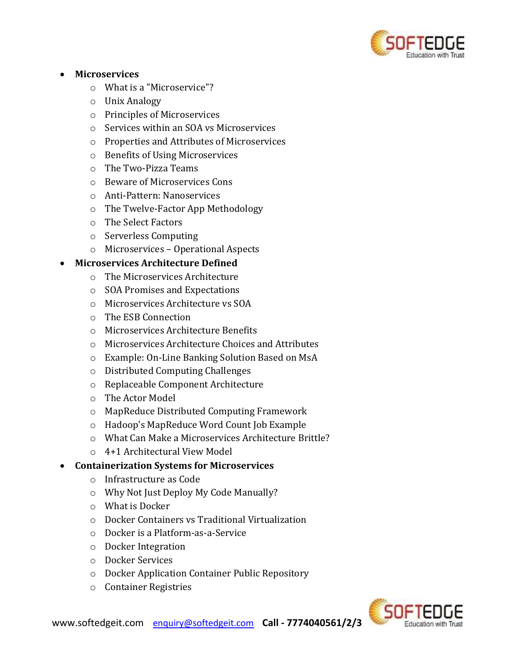

#### • **Microservices**

- o What is a "Microservice"?
- o Unix Analogy
- o Principles of Microservices
- o Services within an SOA vs Microservices
- o Properties and Attributes of Microservices
- o Benefits of Using Microservices
- o The Two-Pizza Teams
- o Beware of Microservices Cons
- o Anti-Pattern: Nanoservices
- o The Twelve-Factor App Methodology
- o The Select Factors
- o Serverless Computing
- o Microservices Operational Aspects

#### • **Microservices Architecture Defined**

- o The Microservices Architecture
- o SOA Promises and Expectations
- o Microservices Architecture vs SOA
- o The ESB Connection
- o Microservices Architecture Benefits
- o Microservices Architecture Choices and Attributes
- o Example: On-Line Banking Solution Based on MsA
- o Distributed Computing Challenges
- o Replaceable Component Architecture
- o The Actor Model
- o MapReduce Distributed Computing Framework
- o Hadoop's MapReduce Word Count Job Example
- o What Can Make a Microservices Architecture Brittle?
- o 4+1 Architectural View Model

#### • **Containerization Systems for Microservices**

- o Infrastructure as Code
- o Why Not Just Deploy My Code Manually?
- o What is Docker
- o Docker Containers vs Traditional Virtualization
- o Docker is a Platform-as-a-Service
- o Docker Integration
- o Docker Services
- o Docker Application Container Public Repository
- o Container Registries

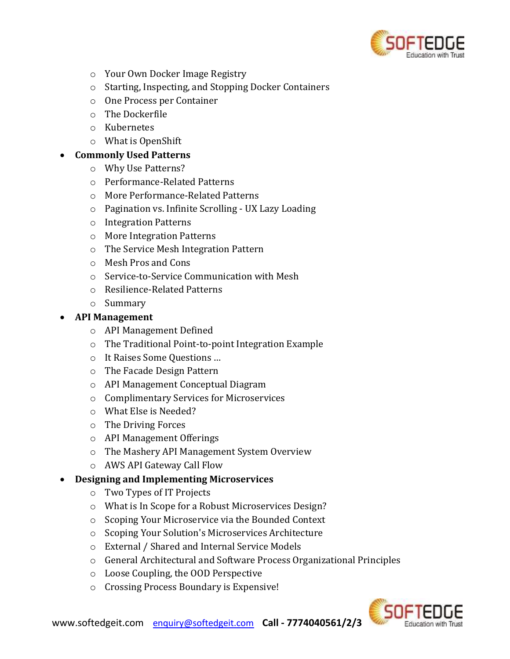

- o Your Own Docker Image Registry
- o Starting, Inspecting, and Stopping Docker Containers
- o One Process per Container
- o The Dockerfile
- o Kubernetes
- o What is OpenShift

#### • **Commonly Used Patterns**

- o Why Use Patterns?
- o Performance-Related Patterns
- o More Performance-Related Patterns
- o Pagination vs. Infinite Scrolling UX Lazy Loading
- o Integration Patterns
- o More Integration Patterns
- o The Service Mesh Integration Pattern
- o Mesh Pros and Cons
- o Service-to-Service Communication with Mesh
- o Resilience-Related Patterns
- o Summary

#### • **API Management**

- o API Management Defined
- o The Traditional Point-to-point Integration Example
- o It Raises Some Questions …
- o The Facade Design Pattern
- o API Management Conceptual Diagram
- o Complimentary Services for Microservices
- o What Else is Needed?
- o The Driving Forces
- o API Management Offerings
- o The Mashery API Management System Overview
- o AWS API Gateway Call Flow

#### • **Designing and Implementing Microservices**

- o Two Types of IT Projects
- o What is In Scope for a Robust Microservices Design?
- o Scoping Your Microservice via the Bounded Context
- o Scoping Your Solution's Microservices Architecture
- o External / Shared and Internal Service Models
- o General Architectural and Software Process Organizational Principles
- o Loose Coupling, the OOD Perspective
- o Crossing Process Boundary is Expensive!

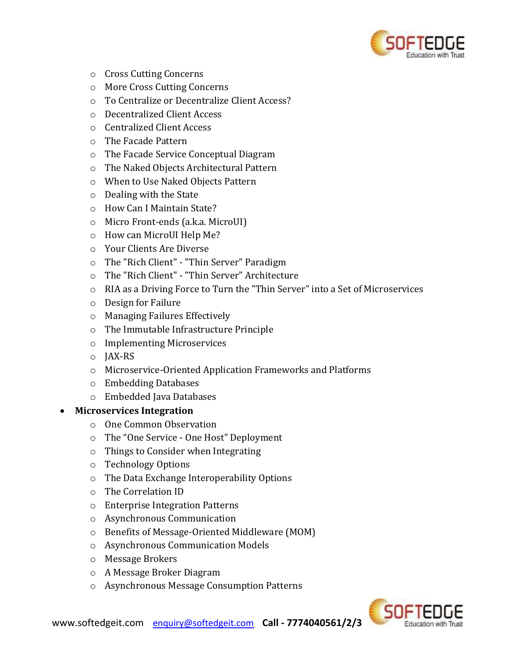

- o Cross Cutting Concerns
- o More Cross Cutting Concerns
- o To Centralize or Decentralize Client Access?
- o Decentralized Client Access
- o Centralized Client Access
- o The Facade Pattern
- o The Facade Service Conceptual Diagram
- o The Naked Objects Architectural Pattern
- o When to Use Naked Objects Pattern
- o Dealing with the State
- o How Can I Maintain State?
- o Micro Front-ends (a.k.a. MicroUI)
- o How can MicroUI Help Me?
- o Your Clients Are Diverse
- o The "Rich Client" "Thin Server" Paradigm
- o The "Rich Client" "Thin Server" Architecture
- o RIA as a Driving Force to Turn the "Thin Server" into a Set of Microservices
- o Design for Failure
- o Managing Failures Effectively
- o The Immutable Infrastructure Principle
- o Implementing Microservices
- o JAX-RS
- o Microservice-Oriented Application Frameworks and Platforms
- o Embedding Databases
- o Embedded Java Databases

#### • **Microservices Integration**

- o One Common Observation
- o The "One Service One Host" Deployment
- o Things to Consider when Integrating
- o Technology Options
- o The Data Exchange Interoperability Options
- o The Correlation ID
- o Enterprise Integration Patterns
- o Asynchronous Communication
- o Benefits of Message-Oriented Middleware (MOM)
- o Asynchronous Communication Models
- o Message Brokers
- o A Message Broker Diagram
- o Asynchronous Message Consumption Patterns

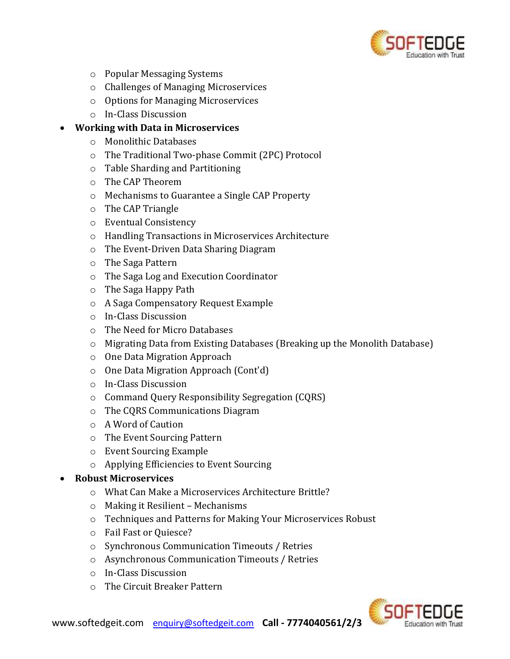

- o Popular Messaging Systems
- o Challenges of Managing Microservices
- o Options for Managing Microservices
- o In-Class Discussion

#### • **Working with Data in Microservices**

- o Monolithic Databases
- o The Traditional Two-phase Commit (2PC) Protocol
- o Table Sharding and Partitioning
- o The CAP Theorem
- o Mechanisms to Guarantee a Single CAP Property
- o The CAP Triangle
- o Eventual Consistency
- o Handling Transactions in Microservices Architecture
- o The Event-Driven Data Sharing Diagram
- o The Saga Pattern
- o The Saga Log and Execution Coordinator
- o The Saga Happy Path
- o A Saga Compensatory Request Example
- o In-Class Discussion
- o The Need for Micro Databases
- o Migrating Data from Existing Databases (Breaking up the Monolith Database)
- o One Data Migration Approach
- o One Data Migration Approach (Cont'd)
- o In-Class Discussion
- o Command Query Responsibility Segregation (CQRS)
- o The CQRS Communications Diagram
- o A Word of Caution
- o The Event Sourcing Pattern
- o Event Sourcing Example
- o Applying Efficiencies to Event Sourcing

#### • **Robust Microservices**

- o What Can Make a Microservices Architecture Brittle?
- o Making it Resilient Mechanisms
- o Techniques and Patterns for Making Your Microservices Robust
- o Fail Fast or Quiesce?
- o Synchronous Communication Timeouts / Retries
- o Asynchronous Communication Timeouts / Retries
- o In-Class Discussion
- o The Circuit Breaker Pattern

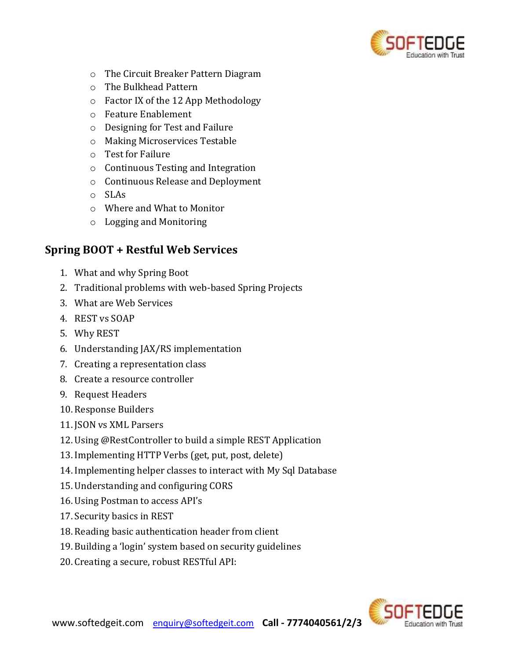

- o The Circuit Breaker Pattern Diagram
- o The Bulkhead Pattern
- o Factor IX of the 12 App Methodology
- o Feature Enablement
- o Designing for Test and Failure
- o Making Microservices Testable
- o Test for Failure
- o Continuous Testing and Integration
- o Continuous Release and Deployment
- o SLAs
- o Where and What to Monitor
- o Logging and Monitoring

## **Spring BOOT + Restful Web Services**

- 1. What and why Spring Boot
- 2. Traditional problems with web-based Spring Projects
- 3. What are Web Services
- 4. REST vs SOAP
- 5. Why REST
- 6. Understanding JAX/RS implementation
- 7. Creating a representation class
- 8. Create a resource controller
- 9. Request Headers
- 10. Response Builders
- 11. JSON vs XML Parsers
- 12. Using @RestController to build a simple REST Application
- 13. Implementing HTTP Verbs (get, put, post, delete)
- 14. Implementing helper classes to interact with My Sql Database
- 15. Understanding and configuring CORS
- 16. Using Postman to access API's
- 17.Security basics in REST
- 18. Reading basic authentication header from client
- 19. Building a 'login' system based on security guidelines
- 20. Creating a secure, robust RESTful API: